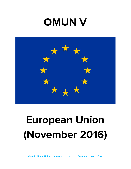## **OMUN V**



# **European Union (November 2016)**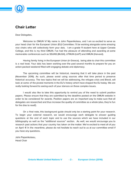

## **Chair Letter**

Dear Delegates,

Welcome to OMUN V! My name is John Papanikolaou, and I am so excited to serve as your head chair for the European Union (EU) Committee. I'll be working alongside some amazing vice chairs who will collectively form your dais. I am a grade 11 student here at Upper Canada College, and this is my third OMUN. I've had the pleasure of attending and awarding at some memorable conferences such as SSUNS (McGill), UTMUN (UofT) and HMUN (Harvard).

Having family living in the European Union (in Greece), being able to chair this committee is a real treat. Your dais has been working over the past several months to prepare for you an action-packed weekend filled with engaging debate and diplomacy.

The upcoming committee will be historical, meaning that it will take place in the past (November 2016). As such, please avoid using sources after that time period to preserve historical accuracy. The two topics that we will be addressing, the refugee crisis and Brexit, will look at some of the pivotal moments in the EU's history which have shaped the EU today. We are really looking forward to seeing each of your stances on these complex issues.

I would also like to take this opportunity to remind you of the need to submit position papers. Please ensure that they are submitted by the deadline posted on the OMUN website in order to be considered for awards. Position papers are an important way to make sure that all delegates are researched and thus increase the quality of committee as a whole (also, they're fun for the dias to read!).

On a final note, this background guide should only be a starting point for your research. To begin your external research, we would encourage each delegate to answer guiding questions at the end of each topic and to use the sources which we have included in our bibliography as well as the "additional sources" section. As well, we would encourage you to research past actions that your country has taken on the matter. We're excited to meet all of you on April 4! In the meantime, please do not hesitate to reach out to us at our committee email if you have any questions.

John Papanikolaou, Head Chair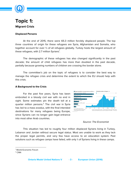

## **Topic 1: Migrant Crisis**

## **Displaced Persons**

At the end of 2015, there were 65.3 million forcibly displaced people. The top three countries of origin for these refugees are Syria, Afghanistan and Somalia, who together account for over ½ of all refugees globally. Turkey hosts the largest amount of these refugees, with 2.7 million Syrians $^1$ .

The demographic of these refugees has also changed significantly in the past decade; the amount of child refugees has more than doubled in the past decade, partially because growing numbers of children are crossing the border alone.

The committee's job on the topic of refugees is to consider the best way to manage the refugee crisis and determine the extent to which the EU should help with this crisis.

## **A Background to the Crisis**

For the past five years, Syria has been embroiled in a bloody civil war with no end in sight. Some estimates pin the death toll at a quarter million persons.<sup>2</sup> The civil war in Syria has led to a mass exodus, with the final intended destinations for many refugees being Europe, since Syrians can no longer gain legal entrance into most other Arab countries.



## Source: The Economist

This situation has led to roughly four million displaced Syrians living in Turkey, Lebanon and Jordan without secure legal status. Most are unable to work as they lack the proper legal permits, and very few have access to an education system. Past solutions such as refugee camps have failed, with only <sup>1/</sup> of Syrians living in these camps.

<sup>1</sup> World Economic Forum

<sup>2</sup> CNN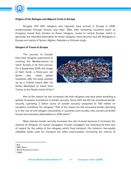

## **Origins of the Refugee and Migrant Crisis in Europe**

Roughly 370 000 refugees and migrants have arrived in Europe in 2016, predominantly through Greece and Italy.<sup>3</sup> After their bordering countries (such as Hungary) closed their borders to these refugees, routes to central Europe, which is generally the intended destination for these refugees, have become shut off. Refugees in Europe are mainly of Syrian, Afghan, Pakistani or Eritrean origin.

#### **Dangers of Travel to Europe**

The journey to Europe that most refugees experience in crossing the Mediterranean to reach Europe is far from secure. On 2 September 2015, the image of Alan Kurdi, a three-year old Syrian boy, made global headlines after his body washed up on a Turkish beach after his family attempted to travel from Turkey to the Greek island of Kos.<sup>4</sup>



Part of the reason for the increased risk that refugees now face when travelling is greater European investment in border security. Since 2011, the EU has prioritized border security, spending 2 billion euros on border security compared to 700 million on reception conditions for refugees.<sup>5</sup> Part of the reason for this increased border spending is in the rise of anti-refugee movements in countries such as Italy, who carried out 6,000 forced and voluntary deportations in 2016 alone. 6

More intense border security increases the risk of travel because it increases the reliance of refugees on human smugglers. Human smugglers are notorious for their lack of regard for the safety of the refugees which they transport. For instance, low-quality inflatable boats used for transport are often overcrowded, increasing the chance of

<sup>5</sup> World Economic Forum

 $3$  lbid.

<sup>&</sup>lt;sup>4</sup> NBC News

<sup>&</sup>lt;sup>6</sup> CNBC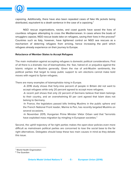

capsizing. Additionally, there have also been repeated cases of fake life jackets being distributed, equivalent to a death sentence in the case of a capsizing. $^7$ 

NGO rescue organizations, navies, and coast guards have saved the lives of countless refugees attempting to cross the Mediterranean. In cases where the boats of smugglers capsize, NGO rescue boats take on refugees, saving their lives in the process $^{\rm 8}$ Countries such as Italy, however, have tightened control on NGO sea rescues as a mechanism of deterring refugees from arriving, hence increasing the peril which refugees already experience on their journey to Europe.

## **Reluctance of Member States to Accept Refugees**

The main motivation against accepting refugees is domestic political considerations. First of all there is a dramatic rise of Islamophobia, the fear, hatred of, or prejudice against the Islamic religion or Muslims generally. Given the rise of anti-Muslim sentiments, the political parties that target to keep public support to win elections cannot make bold moves with regard to Syrian refugees.

There are many examples of Islamophobia rising in Europe.

-A 2016 study shows that forty-nine percent of people in Britain did not want to accept refugees while only 20 percent agreed to accept more refugees.

-A recent poll shows that only 22 percent of Germans believe that Islam belongs to their country, and an overwhelming 61 per cent agreed that Islam does not belong to Germany.

-In France, the legislators passed bills limiting Muslims in the public sphere and the French National Front leader, Marine le Pen, has recently targeted Muslims on several occasions.

-In November 2015, Hungarian Prime Minister Viktor Orban said that "terrorists have exploited mass migration by mingling in European societies."

Second, the uphill trajectory of far-right parties makes the open-door policies even more difficult as mainstream political parties are concerned to lose the social base to the far right alternatives. Delegates should keep these two main causes in mind as they debate this issue.

<sup>7</sup> World Health Organization

<sup>&</sup>lt;sup>8</sup> The Guardian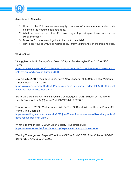

## **Questions to Consider**

- 1. How will the EU balance sovereignty concerns of some member states while balancing the need to settle refugees?
- 2. What actions should the EU take regarding refugee travel across the Mediterranean?
- 3. Does the EU have an obligation to help with the crisis?
- 4. How does your country's domestic policy inform your stance on the migrant crisis?

## **Works Cited:**

"Smugglers Jailed In Turkey Over Death Of Syrian Toddler Aylan Kurdi". 2016. NBC News.

[https://www.nbcnews.com/storyline/europes-border-crisis/smugglers-jailed-turkey-over-d](https://www.nbcnews.com/storyline/europes-border-crisis/smugglers-jailed-turkey-over-death-syrian-toddler-aylan-kurdi-n531711) [eath-syrian-toddler-aylan-kurdi-n531711](https://www.nbcnews.com/storyline/europes-border-crisis/smugglers-jailed-turkey-over-death-syrian-toddler-aylan-kurdi-n531711).

Ellyatt, Holly. 2018. "'Pack Your Bags,' Italy's New Leaders Tell 500,000 Illegal Migrants — But It'll Cost Them". CNBC.

[https://www.cnbc.com/2018/06/04/pack-your-bags-italys-new-leaders-tell-500000-illegal](https://www.cnbc.com/2018/06/04/pack-your-bags-italys-new-leaders-tell-500000-illegal-migrants--but-itll-cost-them.html) [-migrants--but-itll-cost-them.html.](https://www.cnbc.com/2018/06/04/pack-your-bags-italys-new-leaders-tell-500000-illegal-migrants--but-itll-cost-them.html)

"Fake Lifejackets Play A Role In Drowning Of Refugees". 2016. Bulletin Of The World Health Organization 94 (6): 411-412. doi:10.2471/blt.16.020616.

Tondo, Lorenzo. 2019. "Mediterranean Will Be 'Sea Of Blood' Without Rescue Boats, UN Warns". The Guardian.

[https://www.theguardian.com/world/2019/jun/09/mediterranean-sea-of-blood-migrant-ref](https://www.theguardian.com/world/2019/jun/09/mediterranean-sea-of-blood-migrant-refugee-rescue-boats-un-unhcr) [ugee-rescue-boats-un-unhcr](https://www.theguardian.com/world/2019/jun/09/mediterranean-sea-of-blood-migrant-refugee-rescue-boats-un-unhcr).

"What Is Islamophobia?". 2020. Open Society Foundations.Org. [https://www.opensocietyfoundations.org/explainers/islamophobia-europe.](https://www.opensocietyfoundations.org/explainers/islamophobia-europe)

"Testing The Argument Beyond The Scope Of The Study". 2019. Alien Citizens, 183-205. doi:10.1017/9781108692649.008.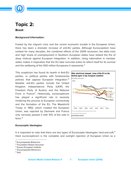

## **Topic 2: Brexit**

## **Background Information:**

Fueled by the migrant crisis and the recent economic trouble in the European Union, there has been a dramatic increase of anti-EU parties. Although Eurosceptisim have existed for many decades, the combined effects of the 2009 recession, the debt crisis and high levels of unemployment in Southern European states have stoked the fire of deep mistrust against European integration. In addition, rising nationalism in member states makes it imperative that the EU take concrete action to reform itself for its survival and the wellbeing of the 500 million Europeans it represents. 9

This scepticism has found its hearth in Anti-EU parties, or political parties with fundamental policies that oppose European integration. 10 Notable anti-EU parties include the United Kingdom Independence Party (UKIP), the Freedom Party of Austria, and the National Front in France<sup>11</sup>. Historically, euroscepticism has played a significant role in severely hindering the process to European connectivity and the formation of the EU. The Maastricht Treaty in 1992, which created the European Union, was rejected by Denmark and France only narrowly passed it with 51% of the vote in favor. 12



#### **Eurosceptic Ideologies:**

It is important to note that there are two types of Eurosceptic Ideologies: hard and soft.<sup>13</sup> Hard euroscepticism is the complete and outright rejection of European Union as a

<sup>9</sup> Encyclopaedia Britannica

<sup>&</sup>lt;sup>10</sup> Foundation Robert Schuman

<sup>11</sup> Sussex European Institute

<sup>12</sup> Encyclopaedia Britannica

<sup>&</sup>lt;sup>13</sup> Ibid.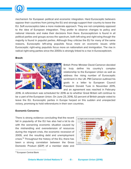

mechanism for European political and economic integration. Hard Eurosceptic believers oppose their countries from joining the EU and strongly support their country to leave the EU. Soft eurosceptics take a more moderate approach. They are not completely opposed to the idea of European integration. They prefer to observe changes to policy and national interests and make their decisions from there. Euroscepticism is found in all political parties and groups across the spectrum, both left-wing and right-wing though the majority is found in populist parties. Although they criticise the EU for many of the same reasons, Eurosceptic left-wing populists focus more on economic issues while Eurosceptic right-wing populists focus more on nationalism and immigration. The rise in radical right-wing parties since the 2000s is strongly linked to a rise in Euroscepticism.

#### **Brexit:**



British Prime Minister David Cameron decided to truly define his country's complex relationship to the European Union as well as address the rising number of Eurosceptic sentiment in the UK. PM Cameron outlined his goals in a letter to European Council President Donald Tusk in November 2015, and an agreement was reached in February

2016. A referendum was scheduled for 2016 as to whether Great Britain will continue to be a part of the European Union. On June 23, 2016, 52 percent of British people voted to leave the EU. Eurosceptic parties in Europe harped on this sudden and unexpected victory, promising to hold referendums in their own countries.

## **Economic Concerns:**

There is strong evidence concluding that the recent fall in popularity of the EU has also had a lot to do with the worsening economic situation caused by the mishandling and overextension of resources during the migrant crisis, the economic recession of 2009, and the resulting debt and unemployment crises.<sup>14</sup> Throughout the history of the EU, there has been a strong correlation between the Gross Domestic Product (GDP) of a member state and



<sup>&</sup>lt;sup>14</sup> European Central Bank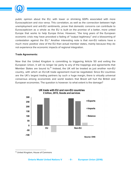

public opinion about the EU, with lower or shrinking GDPs associated with more Euroscepticism and vice versa. This correlation, as well as the connection between high unemployment and anti-EU sentiments, prove that domestic concerns can contribute to Euroscepticism as a whole as the EU is built on the promise of a better, more united Europe that works to help Europe thrive. However, "the long years of the European economic crisis may have provoked a fading of "output legitimacy" and a blossoming of contestation against the EU." Another interesting note is that non-EU nations have a much more positive view of the EU than actual member states, mainly because they do not experience the economic impacts of regional integration.

## **Trade Agreements:**

Now that the United Kingdom is committing to triggering Article 50 and exiting the European Union, it will no longer be party to any of the trappings and agreements that Member States are bound to.<sup>15</sup> Instead, the UK will be treated as just another non-EU country, with which an EU-UK trade agreement must be negotiated. Since EU countries are the UK's largest trading partners by such a huge margin, there is virtually universal consensus among economists and world leaders that Brexit will hurt the British and European economies. The question is however: to what extent is the damage?



<sup>15</sup> United Kingdom, House of Commons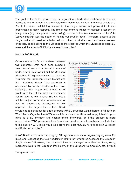

The goal of the British government in negotiating a trade deal post-Brexit is to retain access to the European Single Market, which would help weather the worst effects of a Brexit. However, maintaining access to the single market will prove difficult and problematic in many respects. The British government wishes to maintain autonomy in many areas (e.g. immigration, trade policy), as one of the key motivators of the Vote Leave campaign was the notion of "taking our country back". Therefore, access to the single market will need to be balanced with other UK priorities, such as "free movement of people, contributions to the EU budget, the extent to which the UK needs to adopt EU rules and the extent of UK influence over those rules."

## **Hard or Soft Brexit?:**

Current scenarios fall somewhere between two extremes: what have been coined a "hard Brexit" and a "soft Brexit". In terms of trade, a hard Brexit would pull the UK out of all existing EU agreements and mechanisms, including the European Single Market and the Customs Union. This approach is advocated by hardline leaders of the Leave campaign, who argue that a hard Brexit would give the UK the most autonomy and control over its own affairs. The UK would not be subject to freedom of movement or any EU regulations. Advocates of this approach also argue that a hard Brexit



would not be disastrous for trade, as trade with EU countries would therefore fall back on World Trade Organization (WTO) rules. It is unclear if the UK would simply inherit its prior rules as a EU member and change them afterwards, or if the process is more arduous—the WTO procedure here is unclear. Most economic analyses conclude that falling back on WTO rules would also prove the most mutually harmful to both European and British economies. 16

A soft Brexit would entail abiding by EU regulations to some degree, paying some EU dues, and respecting the four freedoms in return for "unfettered access to the European Single Market." However, the UK would lose its privileges as a Member State, losing representatives in the European Parliament, on the European Commission, etc. It would

<sup>16</sup> Independent.co.uk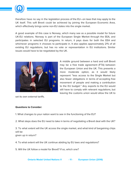

therefore have no say in the legislation process of the EU—on laws that may apply to the UK itself. This soft Brexit could be achieved by joining the European Economic Area, which effectively brings some non-EU states into the single market.

A good example of this case is Norway, which many see as a possible model for future UK-EU relations. Norway is part of the European Single Market through the EEA, and participates in selected EU programs. In return, it pays dues for both the EEA and whichever programs it chooses to participate in. It also applies approximately 21% of all existing EU regulations, but has no vote or representation in EU institutions. Similar issues would have to be negotiated by the UK.



set its own external tariffs.

## **Questions to Consider:**

1. What changes to your nation want to see in the functioning of the EU?

2. What steps does the EU need to take in terms of negotiating a Brexit deal with the UK?

3. To what extent will the UK access the single market, and what kind of bargaining chips will be

given up in return?

4. To what extent will the UK continue abiding by EU laws and regulations?

5. Will the UK follow a model for Brexit? If so, which one?

A middle ground between a hard and soft Brexit may be a free trade agreement (FTA) between the European Union and the UK. This presents a more moderate option, as it would likely represent "less access to the Single Market but also fewer obligations in terms of accepting free movement of people and making a contribution to the EU budget." Any exports to the EU would still have to comply with relevant regulations, but leaving the customs union would allow the UK to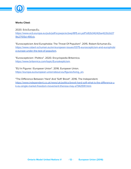

## **Works Cited:**

2020. Ecb.Europa.Eu. [https://www.ecb.europa.eu/pub/pdf/scpwps/ecbwp1815.en.pdf?a92b34242be422b2d27](https://www.ecb.europa.eu/pub/pdf/scpwps/ecbwp1815.en.pdf?a92b34242be422b2d279b27105d-490cb) [9b27105d-490cb](https://www.ecb.europa.eu/pub/pdf/scpwps/ecbwp1815.en.pdf?a92b34242be422b2d279b27105d-490cb).

"Euroscepticism And Europhobia: The Threat Of Populism". 2015. Robert-Schuman.Eu. [https://www.robert-schuman.eu/en/european-issues/0375-euroscepticism-and-europhobi](https://www.robert-schuman.eu/en/european-issues/0375-euroscepticism-and-europhobia-europe-under-the-test-of-populism) [a-europe-under-the-test-of-populism](https://www.robert-schuman.eu/en/european-issues/0375-euroscepticism-and-europhobia-europe-under-the-test-of-populism).

"Euroscepticism | Politics". 2020. Encyclopedia Britannica. [https://www.britannica.com/topic/Euroskepticism.](https://www.britannica.com/topic/Euroskepticism)

"EU In Figures | European Union". 2016. European Union. [https://europa.eu/european-union/about-eu/figures/living\\_en](https://europa.eu/european-union/about-eu/figures/living_en).

"The Difference Between 'Hard' And 'Soft' Brexit". 2016. The Independent. [https://www.independent.co.uk/news/uk/politics/brexit-hard-soft-what-is-the-difference-u](https://www.independent.co.uk/news/uk/politics/brexit-hard-soft-what-is-the-difference-uk-eu-single-market-freedom-movement-theresa-may-a7342591.html) [k-eu-single-market-freedom-movement-theresa-may-a7342591.html](https://www.independent.co.uk/news/uk/politics/brexit-hard-soft-what-is-the-difference-uk-eu-single-market-freedom-movement-theresa-may-a7342591.html).